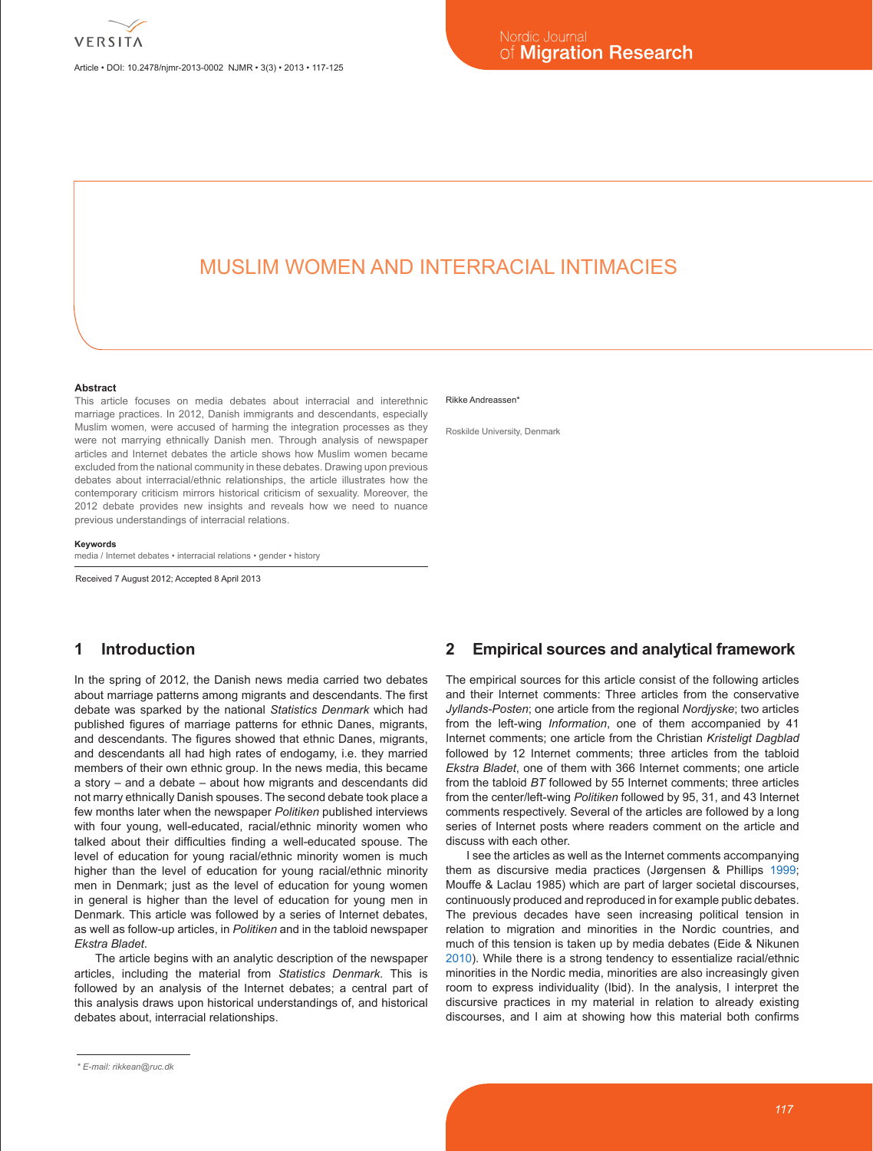Article • DOI: 10.2478/njmr-2013-0002 NJMR • 3(3) • 2013 • 117-125

# MUSLIM WOMEN AND INTERRACIAL INTIMACIES

#### **Abstract**

This article focuses on media debates about interracial and interethnic marriage practices. In 2012, Danish immigrants and descendants, especially Muslim women, were accused of harming the integration processes as they were not marrying ethnically Danish men. Through analysis of newspaper articles and Internet debates the article shows how Muslim women became excluded from the national community in these debates. Drawing upon previous debates about interracial/ethnic relationships, the article illustrates how the contemporary criticism mirrors historical criticism of sexuality. Moreover, the 2012 debate provides new insights and reveals how we need to nuance previous understandings of interracial relations.

#### **Keywords**

media / Internet debates • interracial relations • gender • history

Received 7 August 2012; Accepted 8 April 2013

# **1 Introduction**

In the spring of 2012, the Danish news media carried two debates about marriage patterns among migrants and descendants. The first debate was sparked by the national *Statistics Denmark* which had published figures of marriage patterns for ethnic Danes, migrants, and descendants. The figures showed that ethnic Danes, migrants, and descendants all had high rates of endogamy, i.e. they married members of their own ethnic group. In the news media, this became a story – and a debate – about how migrants and descendants did not marry ethnically Danish spouses. The second debate took place a few months later when the newspaper *Politiken* published interviews with four young, well-educated, racial/ethnic minority women who talked about their difficulties finding a well-educated spouse. The level of education for young racial/ethnic minority women is much higher than the level of education for young racial/ethnic minority men in Denmark; just as the level of education for young women in general is higher than the level of education for young men in Denmark. This article was followed by a series of Internet debates, as well as follow-up articles, in *Politiken* and in the tabloid newspaper *Ekstra Bladet*.

The article begins with an analytic description of the newspaper articles, including the material from *Statistics Denmark*. This is followed by an analysis of the Internet debates; a central part of this analysis draws upon historical understandings of, and historical debates about, interracial relationships.

#### Rikke Andreassen\*

Roskilde University, Denmark

#### **2 Empirical sources and analytical framework**

The empirical sources for this article consist of the following articles and their Internet comments: Three articles from the conservative *Jyllands-Posten*; one article from the regional *Nordjyske*; two articles from the left-wing *Information*, one of them accompanied by 41 Internet comments; one article from the Christian *Kristeligt Dagblad* followed by 12 Internet comments; three articles from the tabloid *Ekstra Bladet*, one of them with 366 Internet comments; one article from the tabloid *BT* followed by 55 Internet comments; three articles from the center/left-wing *Politiken* followed by 95, 31, and 43 Internet comments respectively. Several of the articles are followed by a long series of Internet posts where readers comment on the article and discuss with each other.

I see the articles as well as the Internet comments accompanying them as discursive media practices (Jørgensen & Phillips [1999](#page-7-0); Mouffe & Laclau 1985) which are part of larger societal discourses, continuously produced and reproduced in for example public debates. The previous decades have seen increasing political tension in relation to migration and minorities in the Nordic countries, and much of this tension is taken up by media debates (Eide & Nikunen [2010\)](#page-7-1). While there is a strong tendency to essentialize racial/ethnic minorities in the Nordic media, minorities are also increasingly given room to express individuality (Ibid). In the analysis, I interpret the discursive practices in my material in relation to already existing discourses, and I aim at showing how this material both confirms

*<sup>\*</sup> E-mail: rikkean@ruc.dk*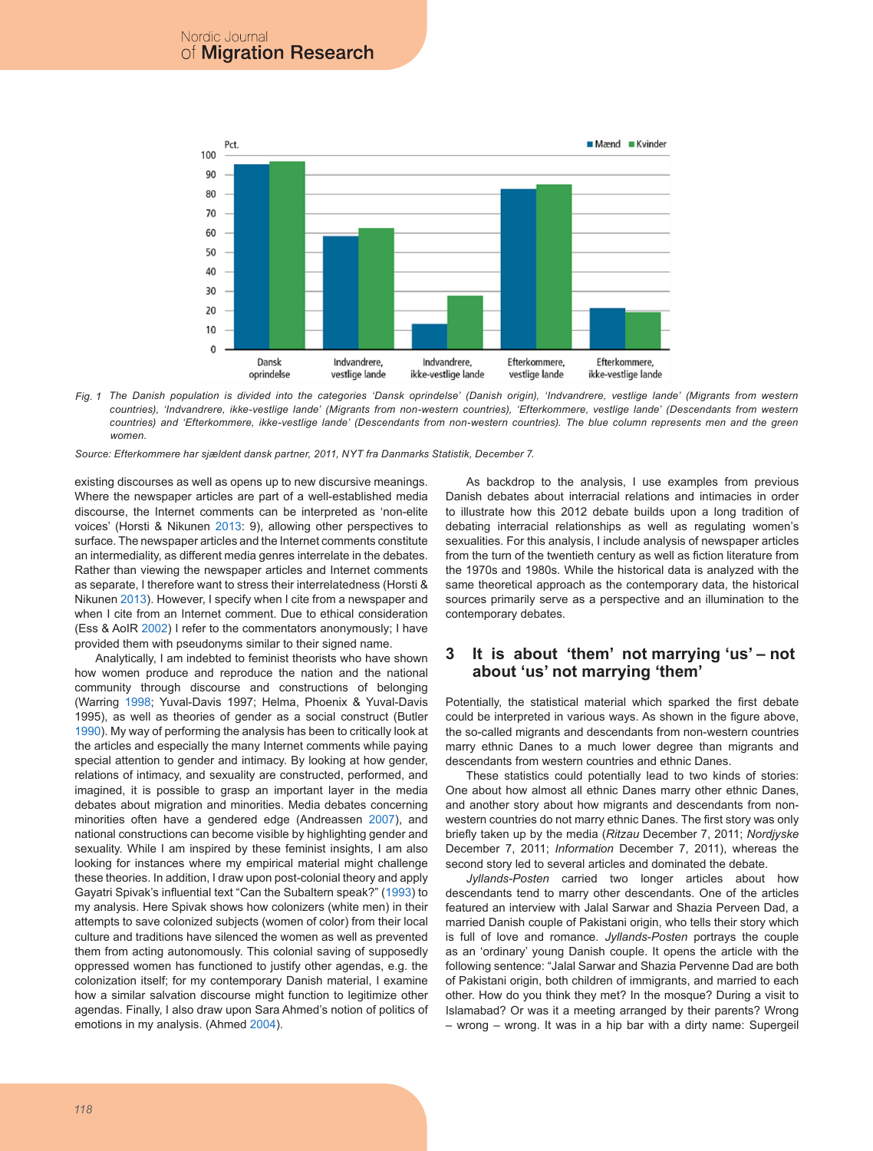

*Fig. 1 The Danish population is divided into the categories 'Dansk oprindelse' (Danish origin), 'Indvandrere, vestlige lande' (Migrants from western countries), 'Indvandrere, ikke-vestlige lande' (Migrants from non-western countries), 'Efterkommere, vestlige lande' (Descendants from western countries) and 'Efterkommere, ikke-vestlige lande' (Descendants from non-western countries). The blue column represents men and the green women.*

*Source: Efterkommere har sjældent dansk partner, 2011, NYT fra Danmarks Statistik, December 7.*

existing discourses as well as opens up to new discursive meanings. Where the newspaper articles are part of a well-established media discourse, the Internet comments can be interpreted as 'non-elite voices' (Horsti & Nikunen [2013:](#page-7-2) 9), allowing other perspectives to surface. The newspaper articles and the Internet comments constitute an intermediality, as different media genres interrelate in the debates. Rather than viewing the newspaper articles and Internet comments as separate, I therefore want to stress their interrelatedness (Horsti & Nikunen [2013](#page-7-2)). However, I specify when I cite from a newspaper and when I cite from an Internet comment. Due to ethical consideration (Ess & AoIR [2002\)](#page-7-3) I refer to the commentators anonymously; I have provided them with pseudonyms similar to their signed name.

Analytically, I am indebted to feminist theorists who have shown how women produce and reproduce the nation and the national community through discourse and constructions of belonging (Warring [1998;](#page-8-0) Yuval-Davis 1997; Helma, Phoenix & Yuval-Davis 1995), as well as theories of gender as a social construct (Butler [1990\)](#page-7-4). My way of performing the analysis has been to critically look at the articles and especially the many Internet comments while paying special attention to gender and intimacy. By looking at how gender, relations of intimacy, and sexuality are constructed, performed, and imagined, it is possible to grasp an important layer in the media debates about migration and minorities. Media debates concerning minorities often have a gendered edge (Andreassen [2007\)](#page-7-5), and national constructions can become visible by highlighting gender and sexuality. While I am inspired by these feminist insights, I am also looking for instances where my empirical material might challenge these theories. In addition, I draw upon post-colonial theory and apply Gayatri Spivak's influential text "Can the Subaltern speak?" ([1993\)](#page-8-1) to my analysis. Here Spivak shows how colonizers (white men) in their attempts to save colonized subjects (women of color) from their local culture and traditions have silenced the women as well as prevented them from acting autonomously. This colonial saving of supposedly oppressed women has functioned to justify other agendas, e.g. the colonization itself; for my contemporary Danish material, I examine how a similar salvation discourse might function to legitimize other agendas. Finally, I also draw upon Sara Ahmed's notion of politics of emotions in my analysis. (Ahmed [2004](#page-7-6)).

As backdrop to the analysis, I use examples from previous Danish debates about interracial relations and intimacies in order to illustrate how this 2012 debate builds upon a long tradition of debating interracial relationships as well as regulating women's sexualities. For this analysis, I include analysis of newspaper articles from the turn of the twentieth century as well as fiction literature from the 1970s and 1980s. While the historical data is analyzed with the same theoretical approach as the contemporary data, the historical sources primarily serve as a perspective and an illumination to the contemporary debates.

### **3 It is about 'them' not marrying 'us' – not about 'us' not marrying 'them'**

Potentially, the statistical material which sparked the first debate could be interpreted in various ways. As shown in the figure above, the so-called migrants and descendants from non-western countries marry ethnic Danes to a much lower degree than migrants and descendants from western countries and ethnic Danes.

These statistics could potentially lead to two kinds of stories: One about how almost all ethnic Danes marry other ethnic Danes, and another story about how migrants and descendants from nonwestern countries do not marry ethnic Danes. The first story was only briefly taken up by the media (*Ritzau* December 7, 2011; *Nordjyske* December 7, 2011; *Information* December 7, 2011), whereas the second story led to several articles and dominated the debate.

*Jyllands-Posten* carried two longer articles about how descendants tend to marry other descendants. One of the articles featured an interview with Jalal Sarwar and Shazia Perveen Dad, a married Danish couple of Pakistani origin, who tells their story which is full of love and romance. *Jyllands-Posten* portrays the couple as an 'ordinary' young Danish couple. It opens the article with the following sentence: "Jalal Sarwar and Shazia Pervenne Dad are both of Pakistani origin, both children of immigrants, and married to each other. How do you think they met? In the mosque? During a visit to Islamabad? Or was it a meeting arranged by their parents? Wrong – wrong – wrong. It was in a hip bar with a dirty name: Supergeil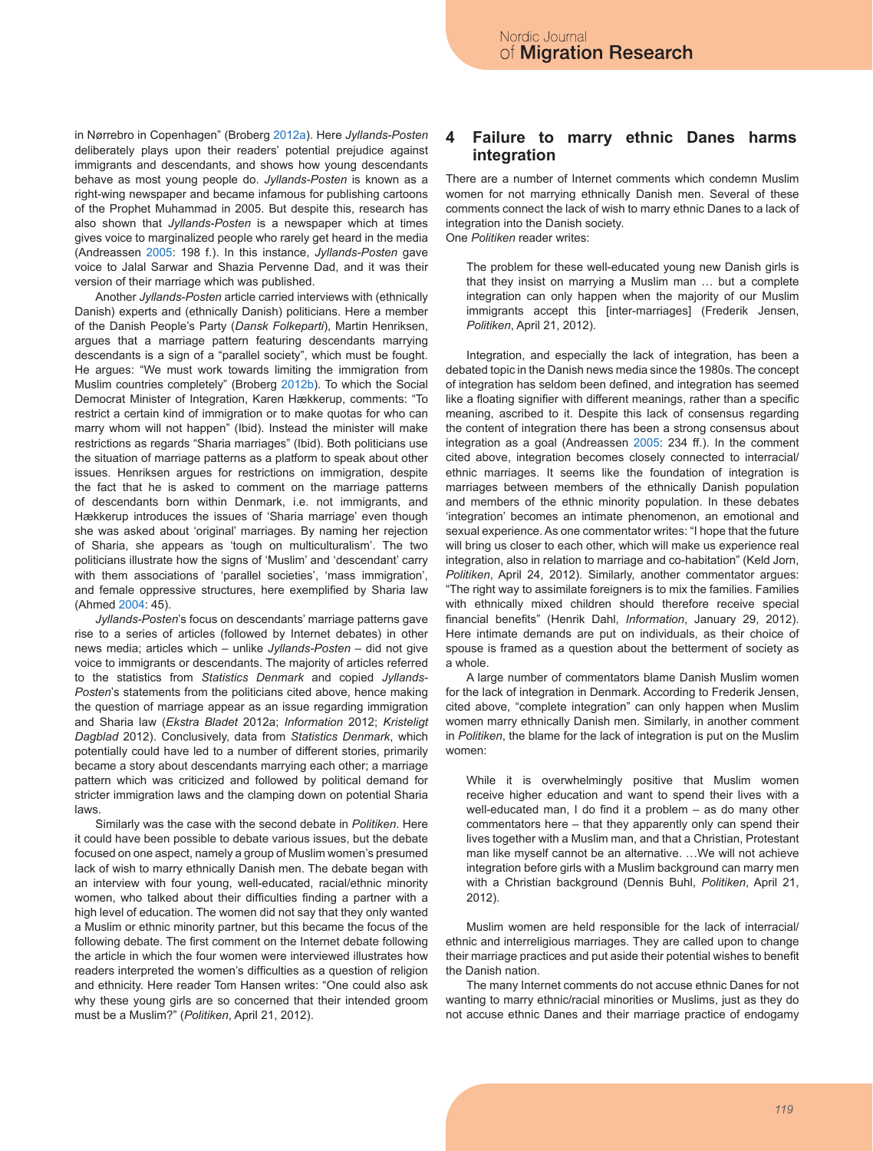in Nørrebro in Copenhagen" (Broberg [2012a\)](#page-8-2). Here *Jyllands-Posten* deliberately plays upon their readers' potential prejudice against immigrants and descendants, and shows how young descendants behave as most young people do. *Jyllands-Posten* is known as a right-wing newspaper and became infamous for publishing cartoons of the Prophet Muhammad in 2005. But despite this, research has also shown that *Jyllands-Posten* is a newspaper which at times gives voice to marginalized people who rarely get heard in the media (Andreassen [2005:](#page-7-7) 198 f.). In this instance, *Jyllands-Posten* gave voice to Jalal Sarwar and Shazia Pervenne Dad, and it was their version of their marriage which was published.

Another *Jyllands-Posten* article carried interviews with (ethnically Danish) experts and (ethnically Danish) politicians. Here a member of the Danish People's Party (*Dansk Folkeparti*), Martin Henriksen, argues that a marriage pattern featuring descendants marrying descendants is a sign of a "parallel society", which must be fought. He argues: "We must work towards limiting the immigration from Muslim countries completely" (Broberg [2012b](#page-8-3)). To which the Social Democrat Minister of Integration, Karen Hækkerup, comments: "To restrict a certain kind of immigration or to make quotas for who can marry whom will not happen" (Ibid). Instead the minister will make restrictions as regards "Sharia marriages" (Ibid). Both politicians use the situation of marriage patterns as a platform to speak about other issues. Henriksen argues for restrictions on immigration, despite the fact that he is asked to comment on the marriage patterns of descendants born within Denmark, i.e. not immigrants, and Hækkerup introduces the issues of 'Sharia marriage' even though she was asked about 'original' marriages. By naming her rejection of Sharia, she appears as 'tough on multiculturalism'. The two politicians illustrate how the signs of 'Muslim' and 'descendant' carry with them associations of 'parallel societies', 'mass immigration', and female oppressive structures, here exemplified by Sharia law (Ahmed [2004:](#page-7-6) 45).

*Jyllands-Posten*'s focus on descendants' marriage patterns gave rise to a series of articles (followed by Internet debates) in other news media; articles which – unlike *Jyllands-Posten* – did not give voice to immigrants or descendants. The majority of articles referred to the statistics from *Statistics Denmark* and copied *Jyllands-Posten*'s statements from the politicians cited above, hence making the question of marriage appear as an issue regarding immigration and Sharia law (*Ekstra Bladet* 2012a; *Information* 2012; *Kristeligt Dagblad* 2012). Conclusively, data from *Statistics Denmark*, which potentially could have led to a number of different stories, primarily became a story about descendants marrying each other; a marriage pattern which was criticized and followed by political demand for stricter immigration laws and the clamping down on potential Sharia laws.

Similarly was the case with the second debate in *Politiken*. Here it could have been possible to debate various issues, but the debate focused on one aspect, namely a group of Muslim women's presumed lack of wish to marry ethnically Danish men. The debate began with an interview with four young, well-educated, racial/ethnic minority women, who talked about their difficulties finding a partner with a high level of education. The women did not say that they only wanted a Muslim or ethnic minority partner, but this became the focus of the following debate. The first comment on the Internet debate following the article in which the four women were interviewed illustrates how readers interpreted the women's difficulties as a question of religion and ethnicity. Here reader Tom Hansen writes: "One could also ask why these young girls are so concerned that their intended groom must be a Muslim?" (*Politiken*, April 21, 2012).

#### **4 Failure to marry ethnic Danes harms integration**

There are a number of Internet comments which condemn Muslim women for not marrying ethnically Danish men. Several of these comments connect the lack of wish to marry ethnic Danes to a lack of integration into the Danish society. One *Politiken* reader writes:

The problem for these well-educated young new Danish girls is that they insist on marrying a Muslim man … but a complete integration can only happen when the majority of our Muslim immigrants accept this [inter-marriages] (Frederik Jensen, *Politiken*, April 21, 2012).

Integration, and especially the lack of integration, has been a debated topic in the Danish news media since the 1980s. The concept of integration has seldom been defined, and integration has seemed like a floating signifier with different meanings, rather than a specific meaning, ascribed to it. Despite this lack of consensus regarding the content of integration there has been a strong consensus about integration as a goal (Andreassen [2005](#page-7-7): 234 ff.). In the comment cited above, integration becomes closely connected to interracial/ ethnic marriages. It seems like the foundation of integration is marriages between members of the ethnically Danish population and members of the ethnic minority population. In these debates 'integration' becomes an intimate phenomenon, an emotional and sexual experience. As one commentator writes: "I hope that the future will bring us closer to each other, which will make us experience real integration, also in relation to marriage and co-habitation" (Keld Jorn, *Politiken*, April 24, 2012). Similarly, another commentator argues: "The right way to assimilate foreigners is to mix the families. Families with ethnically mixed children should therefore receive special financial benefits" (Henrik Dahl, *Information*, January 29, 2012). Here intimate demands are put on individuals, as their choice of spouse is framed as a question about the betterment of society as a whole.

A large number of commentators blame Danish Muslim women for the lack of integration in Denmark. According to Frederik Jensen, cited above, "complete integration" can only happen when Muslim women marry ethnically Danish men. Similarly, in another comment in *Politiken*, the blame for the lack of integration is put on the Muslim women:

While it is overwhelmingly positive that Muslim women receive higher education and want to spend their lives with a well-educated man, I do find it a problem – as do many other commentators here – that they apparently only can spend their lives together with a Muslim man, and that a Christian, Protestant man like myself cannot be an alternative. …We will not achieve integration before girls with a Muslim background can marry men with a Christian background (Dennis Buhl, *Politiken*, April 21, 2012).

Muslim women are held responsible for the lack of interracial/ ethnic and interreligious marriages. They are called upon to change their marriage practices and put aside their potential wishes to benefit the Danish nation.

The many Internet comments do not accuse ethnic Danes for not wanting to marry ethnic/racial minorities or Muslims, just as they do not accuse ethnic Danes and their marriage practice of endogamy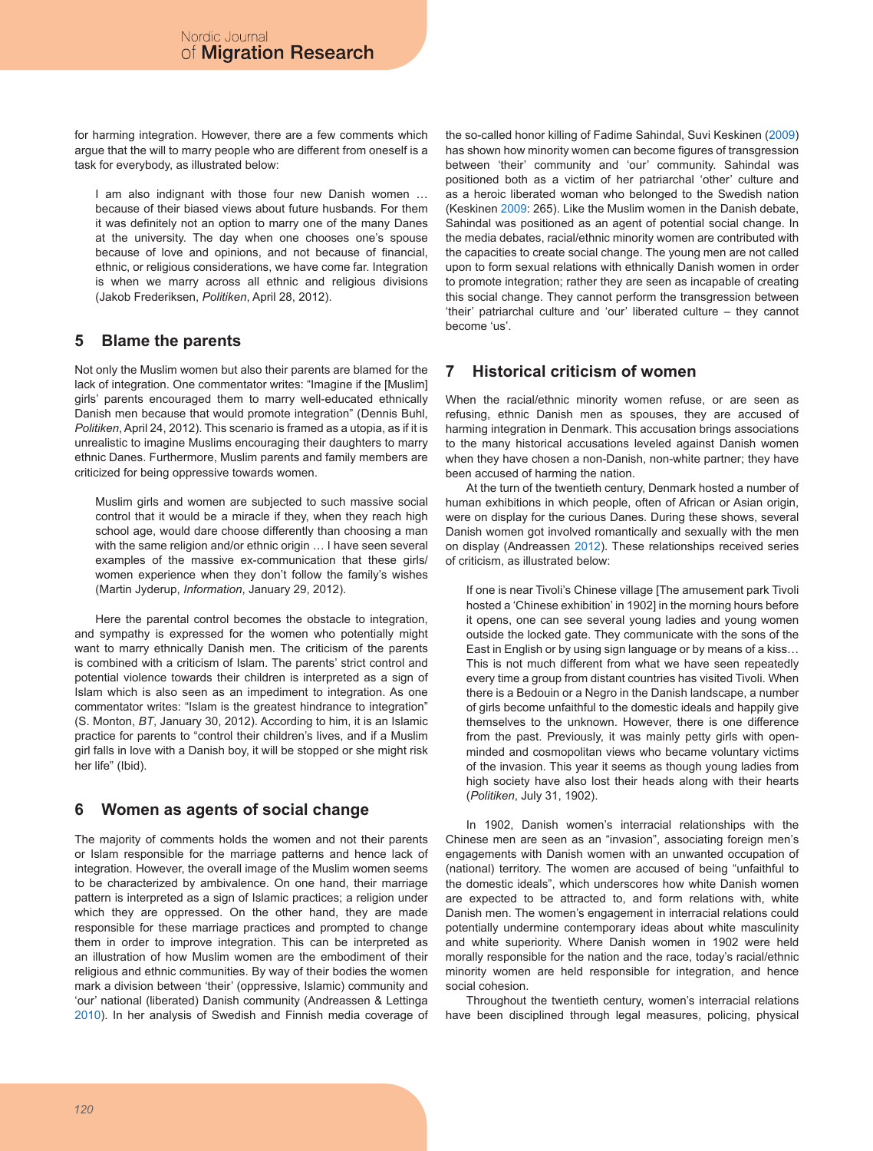for harming integration. However, there are a few comments which argue that the will to marry people who are different from oneself is a task for everybody, as illustrated below:

I am also indignant with those four new Danish women … because of their biased views about future husbands. For them it was definitely not an option to marry one of the many Danes at the university. The day when one chooses one's spouse because of love and opinions, and not because of financial, ethnic, or religious considerations, we have come far. Integration is when we marry across all ethnic and religious divisions (Jakob Frederiksen, *Politiken*, April 28, 2012).

# **5 Blame the parents**

Not only the Muslim women but also their parents are blamed for the lack of integration. One commentator writes: "Imagine if the [Muslim] girls' parents encouraged them to marry well-educated ethnically Danish men because that would promote integration" (Dennis Buhl, *Politiken*, April 24, 2012). This scenario is framed as a utopia, as if it is unrealistic to imagine Muslims encouraging their daughters to marry ethnic Danes. Furthermore, Muslim parents and family members are criticized for being oppressive towards women.

Muslim girls and women are subjected to such massive social control that it would be a miracle if they, when they reach high school age, would dare choose differently than choosing a man with the same religion and/or ethnic origin … I have seen several examples of the massive ex-communication that these girls/ women experience when they don't follow the family's wishes (Martin Jyderup, *Information*, January 29, 2012).

Here the parental control becomes the obstacle to integration, and sympathy is expressed for the women who potentially might want to marry ethnically Danish men. The criticism of the parents is combined with a criticism of Islam. The parents' strict control and potential violence towards their children is interpreted as a sign of Islam which is also seen as an impediment to integration. As one commentator writes: "Islam is the greatest hindrance to integration" (S. Monton, *BT*, January 30, 2012). According to him, it is an Islamic practice for parents to "control their children's lives, and if a Muslim girl falls in love with a Danish boy, it will be stopped or she might risk her life" (Ibid).

# **6 Women as agents of social change**

The majority of comments holds the women and not their parents or Islam responsible for the marriage patterns and hence lack of integration. However, the overall image of the Muslim women seems to be characterized by ambivalence. On one hand, their marriage pattern is interpreted as a sign of Islamic practices; a religion under which they are oppressed. On the other hand, they are made responsible for these marriage practices and prompted to change them in order to improve integration. This can be interpreted as an illustration of how Muslim women are the embodiment of their religious and ethnic communities. By way of their bodies the women mark a division between 'their' (oppressive, Islamic) community and 'our' national (liberated) Danish community (Andreassen & Lettinga [2010\)](#page-7-8). In her analysis of Swedish and Finnish media coverage of the so-called honor killing of Fadime Sahindal, Suvi Keskinen ([2009](#page-7-9)) has shown how minority women can become figures of transgression between 'their' community and 'our' community. Sahindal was positioned both as a victim of her patriarchal 'other' culture and as a heroic liberated woman who belonged to the Swedish nation (Keskinen [2009:](#page-7-9) 265). Like the Muslim women in the Danish debate, Sahindal was positioned as an agent of potential social change. In the media debates, racial/ethnic minority women are contributed with the capacities to create social change. The young men are not called upon to form sexual relations with ethnically Danish women in order to promote integration; rather they are seen as incapable of creating this social change. They cannot perform the transgression between 'their' patriarchal culture and 'our' liberated culture – they cannot become 'us'.

# **7 Historical criticism of women**

When the racial/ethnic minority women refuse, or are seen as refusing, ethnic Danish men as spouses, they are accused of harming integration in Denmark. This accusation brings associations to the many historical accusations leveled against Danish women when they have chosen a non-Danish, non-white partner; they have been accused of harming the nation.

At the turn of the twentieth century, Denmark hosted a number of human exhibitions in which people, often of African or Asian origin, were on display for the curious Danes. During these shows, several Danish women got involved romantically and sexually with the men on display (Andreassen [2012\)](#page-7-10). These relationships received series of criticism, as illustrated below:

If one is near Tivoli's Chinese village [The amusement park Tivoli hosted a 'Chinese exhibition' in 1902] in the morning hours before it opens, one can see several young ladies and young women outside the locked gate. They communicate with the sons of the East in English or by using sign language or by means of a kiss… This is not much different from what we have seen repeatedly every time a group from distant countries has visited Tivoli. When there is a Bedouin or a Negro in the Danish landscape, a number of girls become unfaithful to the domestic ideals and happily give themselves to the unknown. However, there is one difference from the past. Previously, it was mainly petty girls with openminded and cosmopolitan views who became voluntary victims of the invasion. This year it seems as though young ladies from high society have also lost their heads along with their hearts (*Politiken*, July 31, 1902).

In 1902, Danish women's interracial relationships with the Chinese men are seen as an "invasion", associating foreign men's engagements with Danish women with an unwanted occupation of (national) territory. The women are accused of being "unfaithful to the domestic ideals", which underscores how white Danish women are expected to be attracted to, and form relations with, white Danish men. The women's engagement in interracial relations could potentially undermine contemporary ideas about white masculinity and white superiority. Where Danish women in 1902 were held morally responsible for the nation and the race, today's racial/ethnic minority women are held responsible for integration, and hence social cohesion.

Throughout the twentieth century, women's interracial relations have been disciplined through legal measures, policing, physical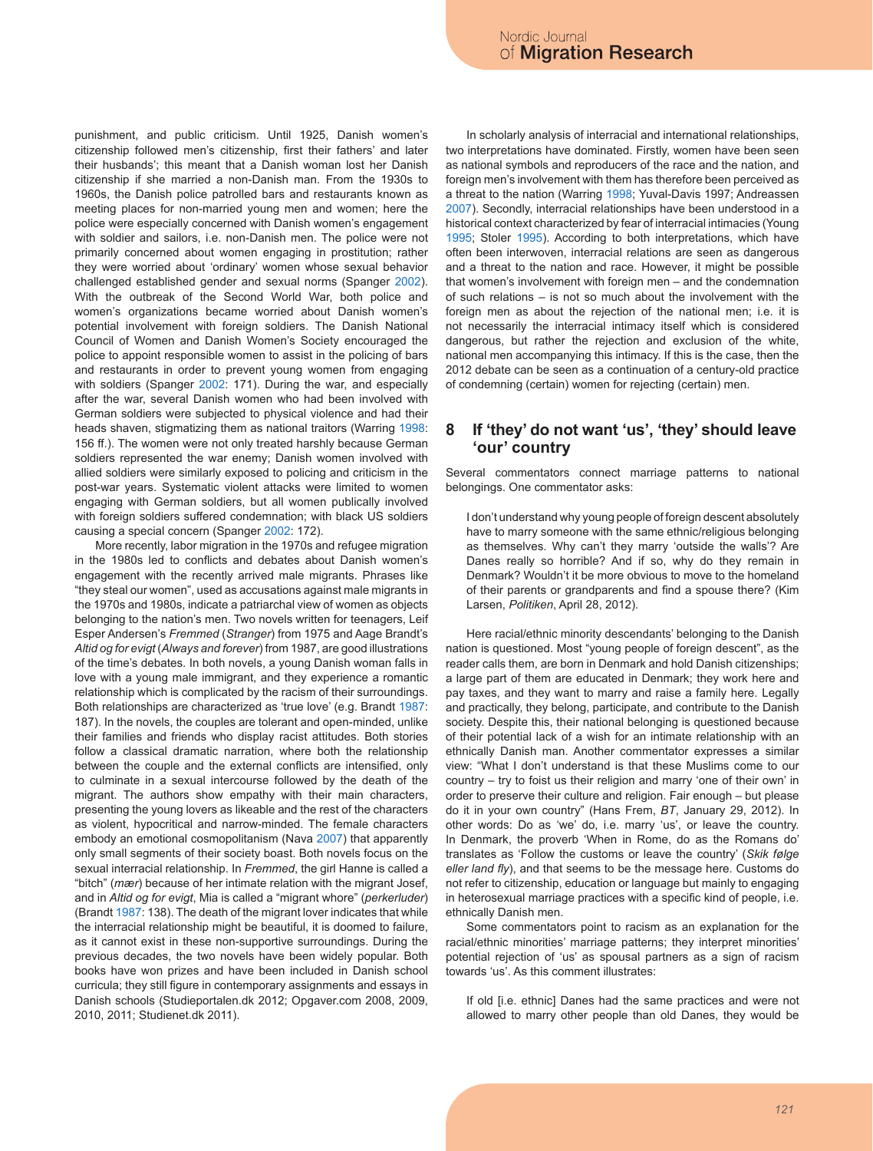punishment, and public criticism. Until 1925, Danish women's citizenship followed men's citizenship, first their fathers' and later their husbands'; this meant that a Danish woman lost her Danish citizenship if she married a non-Danish man. From the 1930s to 1960s, the Danish police patrolled bars and restaurants known as meeting places for non-married young men and women; here the police were especially concerned with Danish women's engagement with soldier and sailors, i.e. non-Danish men. The police were not primarily concerned about women engaging in prostitution; rather they were worried about 'ordinary' women whose sexual behavior challenged established gender and sexual norms (Spanger [2002](#page-8-4)). With the outbreak of the Second World War, both police and women's organizations became worried about Danish women's potential involvement with foreign soldiers. The Danish National Council of Women and Danish Women's Society encouraged the police to appoint responsible women to assist in the policing of bars and restaurants in order to prevent young women from engaging with soldiers (Spanger [2002:](#page-8-4) 171). During the war, and especially after the war, several Danish women who had been involved with German soldiers were subjected to physical violence and had their heads shaven, stigmatizing them as national traitors (Warring [1998:](#page-8-0) 156 ff.). The women were not only treated harshly because German soldiers represented the war enemy; Danish women involved with allied soldiers were similarly exposed to policing and criticism in the post-war years. Systematic violent attacks were limited to women engaging with German soldiers, but all women publically involved with foreign soldiers suffered condemnation; with black US soldiers causing a special concern (Spanger [2002](#page-8-4): 172).

More recently, labor migration in the 1970s and refugee migration in the 1980s led to conflicts and debates about Danish women's engagement with the recently arrived male migrants. Phrases like "they steal our women", used as accusations against male migrants in the 1970s and 1980s, indicate a patriarchal view of women as objects belonging to the nation's men. Two novels written for teenagers, Leif Esper Andersen's *Fremmed* (*Stranger*) from 1975 and Aage Brandt's *Altid og for evigt* (*Always and forever*) from 1987, are good illustrations of the time's debates. In both novels, a young Danish woman falls in love with a young male immigrant, and they experience a romantic relationship which is complicated by the racism of their surroundings. Both relationships are characterized as 'true love' (e.g. Brandt [1987:](#page-7-11) 187). In the novels, the couples are tolerant and open-minded, unlike their families and friends who display racist attitudes. Both stories follow a classical dramatic narration, where both the relationship between the couple and the external conflicts are intensified, only to culminate in a sexual intercourse followed by the death of the migrant. The authors show empathy with their main characters, presenting the young lovers as likeable and the rest of the characters as violent, hypocritical and narrow-minded. The female characters embody an emotional cosmopolitanism (Nava [2007\)](#page-8-5) that apparently only small segments of their society boast. Both novels focus on the sexual interracial relationship. In *Fremmed*, the girl Hanne is called a "bitch" (*mær*) because of her intimate relation with the migrant Josef, and in *Altid og for evigt*, Mia is called a "migrant whore" (*perkerluder*) (Brandt [1987:](#page-7-11) 138). The death of the migrant lover indicates that while the interracial relationship might be beautiful, it is doomed to failure, as it cannot exist in these non-supportive surroundings. During the previous decades, the two novels have been widely popular. Both books have won prizes and have been included in Danish school curricula; they still figure in contemporary assignments and essays in Danish schools (Studieportalen.dk 2012; Opgaver.com 2008, 2009, 2010, 2011; Studienet.dk 2011).

In scholarly analysis of interracial and international relationships, two interpretations have dominated. Firstly, women have been seen as national symbols and reproducers of the race and the nation, and foreign men's involvement with them has therefore been perceived as a threat to the nation (Warring [1998](#page-8-0); Yuval-Davis 1997; Andreassen [2007\)](#page-7-5). Secondly, interracial relationships have been understood in a historical context characterized by fear of interracial intimacies (Young [1995;](#page-8-6) Stoler [1995](#page-8-7)). According to both interpretations, which have often been interwoven, interracial relations are seen as dangerous and a threat to the nation and race. However, it might be possible that women's involvement with foreign men – and the condemnation of such relations – is not so much about the involvement with the foreign men as about the rejection of the national men; i.e. it is not necessarily the interracial intimacy itself which is considered dangerous, but rather the rejection and exclusion of the white, national men accompanying this intimacy. If this is the case, then the 2012 debate can be seen as a continuation of a century-old practice of condemning (certain) women for rejecting (certain) men.

#### **8 If 'they' do not want 'us', 'they' should leave 'our' country**

Several commentators connect marriage patterns to national belongings. One commentator asks:

I don't understand why young people of foreign descent absolutely have to marry someone with the same ethnic/religious belonging as themselves. Why can't they marry 'outside the walls'? Are Danes really so horrible? And if so, why do they remain in Denmark? Wouldn't it be more obvious to move to the homeland of their parents or grandparents and find a spouse there? (Kim Larsen, *Politiken*, April 28, 2012).

Here racial/ethnic minority descendants' belonging to the Danish nation is questioned. Most "young people of foreign descent", as the reader calls them, are born in Denmark and hold Danish citizenships; a large part of them are educated in Denmark; they work here and pay taxes, and they want to marry and raise a family here. Legally and practically, they belong, participate, and contribute to the Danish society. Despite this, their national belonging is questioned because of their potential lack of a wish for an intimate relationship with an ethnically Danish man. Another commentator expresses a similar view: "What I don't understand is that these Muslims come to our country – try to foist us their religion and marry 'one of their own' in order to preserve their culture and religion. Fair enough – but please do it in your own country" (Hans Frem, *BT*, January 29, 2012). In other words: Do as 'we' do, i.e. marry 'us', or leave the country. In Denmark, the proverb 'When in Rome, do as the Romans do' translates as 'Follow the customs or leave the country' (*Skik følge eller land fly*), and that seems to be the message here. Customs do not refer to citizenship, education or language but mainly to engaging in heterosexual marriage practices with a specific kind of people, i.e. ethnically Danish men.

Some commentators point to racism as an explanation for the racial/ethnic minorities' marriage patterns; they interpret minorities' potential rejection of 'us' as spousal partners as a sign of racism towards 'us'. As this comment illustrates:

If old [i.e. ethnic] Danes had the same practices and were not allowed to marry other people than old Danes, they would be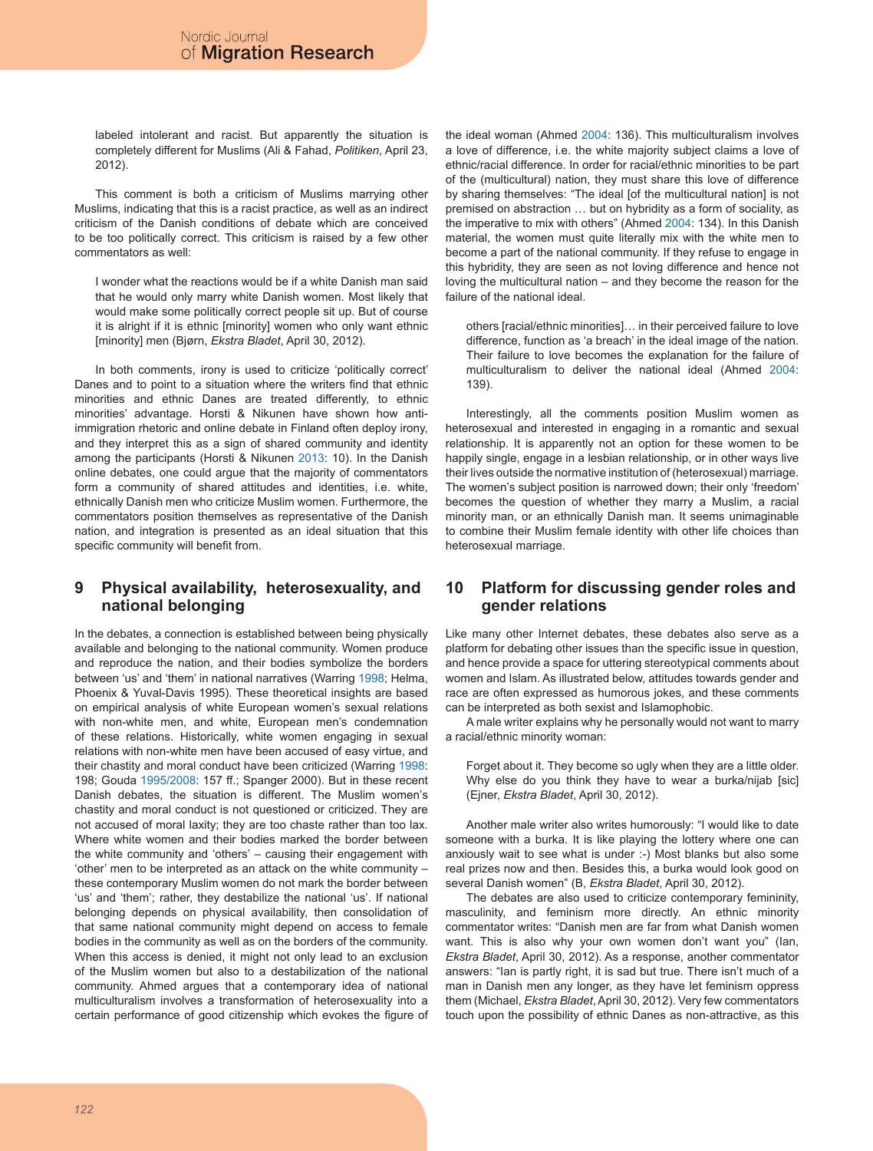labeled intolerant and racist. But apparently the situation is completely different for Muslims (Ali & Fahad, *Politiken*, April 23, 2012).

This comment is both a criticism of Muslims marrying other Muslims, indicating that this is a racist practice, as well as an indirect criticism of the Danish conditions of debate which are conceived to be too politically correct. This criticism is raised by a few other commentators as well:

I wonder what the reactions would be if a white Danish man said that he would only marry white Danish women. Most likely that would make some politically correct people sit up. But of course it is alright if it is ethnic [minority] women who only want ethnic [minority] men (Bjørn, *Ekstra Bladet*, April 30, 2012).

In both comments, irony is used to criticize 'politically correct' Danes and to point to a situation where the writers find that ethnic minorities and ethnic Danes are treated differently, to ethnic minorities' advantage. Horsti & Nikunen have shown how antiimmigration rhetoric and online debate in Finland often deploy irony, and they interpret this as a sign of shared community and identity among the participants (Horsti & Nikunen [2013](#page-7-2): 10). In the Danish online debates, one could argue that the majority of commentators form a community of shared attitudes and identities, i.e. white, ethnically Danish men who criticize Muslim women. Furthermore, the commentators position themselves as representative of the Danish nation, and integration is presented as an ideal situation that this specific community will benefit from.

### **9 Physical availability, heterosexuality, and national belonging**

In the debates, a connection is established between being physically available and belonging to the national community. Women produce and reproduce the nation, and their bodies symbolize the borders between 'us' and 'them' in national narratives (Warring [1998](#page-8-0); Helma, Phoenix & Yuval-Davis 1995). These theoretical insights are based on empirical analysis of white European women's sexual relations with non-white men, and white, European men's condemnation of these relations. Historically, white women engaging in sexual relations with non-white men have been accused of easy virtue, and their chastity and moral conduct have been criticized (Warring [1998:](#page-8-0) 198; Gouda [1995/2008:](#page-7-12) 157 ff.; Spanger 2000). But in these recent Danish debates, the situation is different. The Muslim women's chastity and moral conduct is not questioned or criticized. They are not accused of moral laxity; they are too chaste rather than too lax. Where white women and their bodies marked the border between the white community and 'others' – causing their engagement with 'other' men to be interpreted as an attack on the white community – these contemporary Muslim women do not mark the border between 'us' and 'them'; rather, they destabilize the national 'us'. If national belonging depends on physical availability, then consolidation of that same national community might depend on access to female bodies in the community as well as on the borders of the community. When this access is denied, it might not only lead to an exclusion of the Muslim women but also to a destabilization of the national community. Ahmed argues that a contemporary idea of national multiculturalism involves a transformation of heterosexuality into a certain performance of good citizenship which evokes the figure of the ideal woman (Ahmed [2004:](#page-7-6) 136). This multiculturalism involves a love of difference, i.e. the white majority subject claims a love of ethnic/racial difference. In order for racial/ethnic minorities to be part of the (multicultural) nation, they must share this love of difference by sharing themselves: "The ideal [of the multicultural nation] is not premised on abstraction … but on hybridity as a form of sociality, as the imperative to mix with others" (Ahmed [2004:](#page-7-6) 134). In this Danish material, the women must quite literally mix with the white men to become a part of the national community. If they refuse to engage in this hybridity, they are seen as not loving difference and hence not loving the multicultural nation – and they become the reason for the failure of the national ideal.

others [racial/ethnic minorities]… in their perceived failure to love difference, function as 'a breach' in the ideal image of the nation. Their failure to love becomes the explanation for the failure of multiculturalism to deliver the national ideal (Ahmed [2004:](#page-7-6) 139).

Interestingly, all the comments position Muslim women as heterosexual and interested in engaging in a romantic and sexual relationship. It is apparently not an option for these women to be happily single, engage in a lesbian relationship, or in other ways live their lives outside the normative institution of (heterosexual) marriage. The women's subject position is narrowed down; their only 'freedom' becomes the question of whether they marry a Muslim, a racial minority man, or an ethnically Danish man. It seems unimaginable to combine their Muslim female identity with other life choices than heterosexual marriage.

# **10 Platform for discussing gender roles and gender relations**

Like many other Internet debates, these debates also serve as a platform for debating other issues than the specific issue in question, and hence provide a space for uttering stereotypical comments about women and Islam. As illustrated below, attitudes towards gender and race are often expressed as humorous jokes, and these comments can be interpreted as both sexist and Islamophobic.

A male writer explains why he personally would not want to marry a racial/ethnic minority woman:

Forget about it. They become so ugly when they are a little older. Why else do you think they have to wear a burka/nijab [sic] (Ejner, *Ekstra Bladet*, April 30, 2012).

Another male writer also writes humorously: "I would like to date someone with a burka. It is like playing the lottery where one can anxiously wait to see what is under :-) Most blanks but also some real prizes now and then. Besides this, a burka would look good on several Danish women" (B, *Ekstra Bladet*, April 30, 2012).

The debates are also used to criticize contemporary femininity, masculinity, and feminism more directly. An ethnic minority commentator writes: "Danish men are far from what Danish women want. This is also why your own women don't want you" (Ian, *Ekstra Bladet*, April 30, 2012). As a response, another commentator answers: "Ian is partly right, it is sad but true. There isn't much of a man in Danish men any longer, as they have let feminism oppress them (Michael, *Ekstra Bladet*, April 30, 2012). Very few commentators touch upon the possibility of ethnic Danes as non-attractive, as this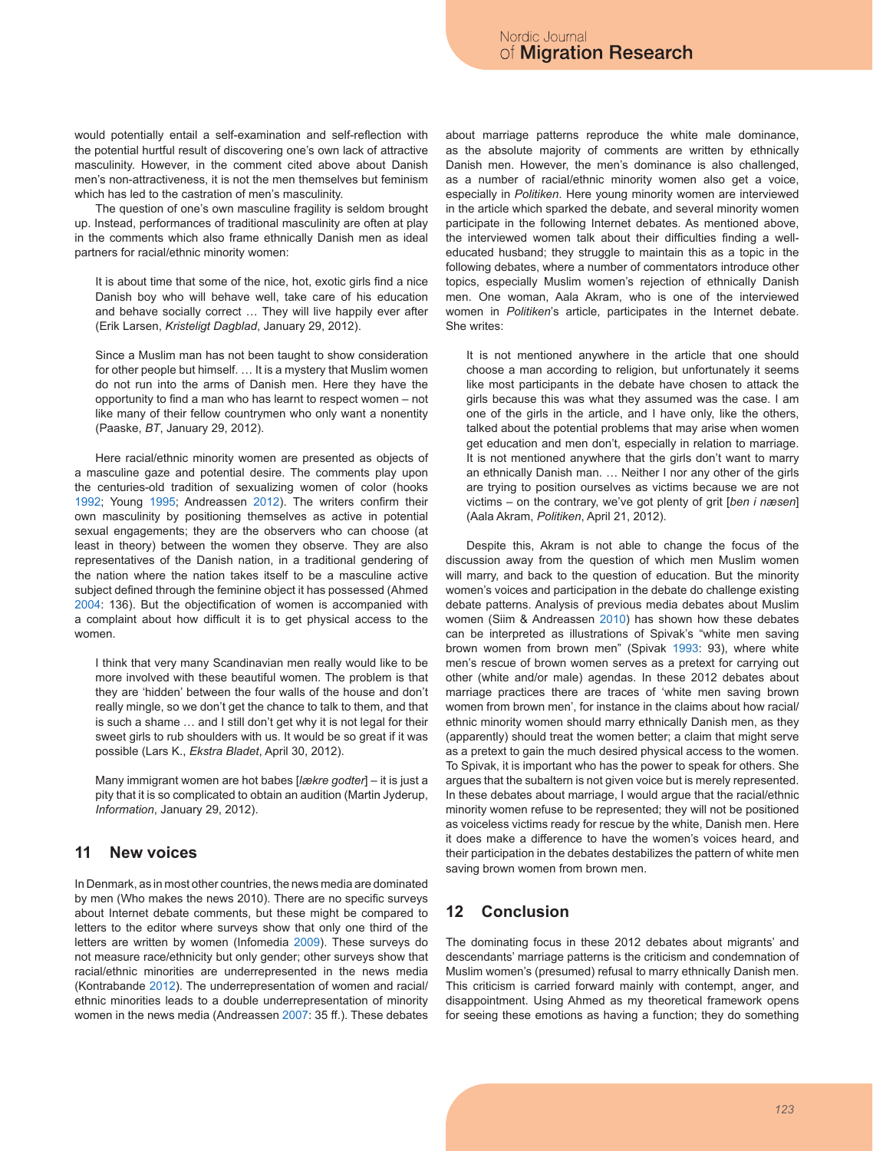would potentially entail a self-examination and self-reflection with the potential hurtful result of discovering one's own lack of attractive masculinity. However, in the comment cited above about Danish men's non-attractiveness, it is not the men themselves but feminism which has led to the castration of men's masculinity.

The question of one's own masculine fragility is seldom brought up. Instead, performances of traditional masculinity are often at play in the comments which also frame ethnically Danish men as ideal partners for racial/ethnic minority women:

It is about time that some of the nice, hot, exotic girls find a nice Danish boy who will behave well, take care of his education and behave socially correct … They will live happily ever after (Erik Larsen, *Kristeligt Dagblad*, January 29, 2012).

Since a Muslim man has not been taught to show consideration for other people but himself. … It is a mystery that Muslim women do not run into the arms of Danish men. Here they have the opportunity to find a man who has learnt to respect women – not like many of their fellow countrymen who only want a nonentity (Paaske, *BT*, January 29, 2012).

Here racial/ethnic minority women are presented as objects of a masculine gaze and potential desire. The comments play upon the centuries-old tradition of sexualizing women of color (hooks [1992;](#page-7-13) Young [1995;](#page-8-6) Andreassen [2012\)](#page-7-10). The writers confirm their own masculinity by positioning themselves as active in potential sexual engagements; they are the observers who can choose (at least in theory) between the women they observe. They are also representatives of the Danish nation, in a traditional gendering of the nation where the nation takes itself to be a masculine active subject defined through the feminine object it has possessed (Ahmed [2004:](#page-7-6) 136). But the objectification of women is accompanied with a complaint about how difficult it is to get physical access to the women.

I think that very many Scandinavian men really would like to be more involved with these beautiful women. The problem is that they are 'hidden' between the four walls of the house and don't really mingle, so we don't get the chance to talk to them, and that is such a shame … and I still don't get why it is not legal for their sweet girls to rub shoulders with us. It would be so great if it was possible (Lars K., *Ekstra Bladet*, April 30, 2012).

Many immigrant women are hot babes [*lækre godter*] – it is just a pity that it is so complicated to obtain an audition (Martin Jyderup, *Information*, January 29, 2012).

# **11 New voices**

In Denmark, as in most other countries, the news media are dominated by men (Who makes the news 2010). There are no specific surveys about Internet debate comments, but these might be compared to letters to the editor where surveys show that only one third of the letters are written by women (Infomedia [2009](#page-7-14)). These surveys do not measure race/ethnicity but only gender; other surveys show that racial/ethnic minorities are underrepresented in the news media (Kontrabande [2012\)](#page-7-15). The underrepresentation of women and racial/ ethnic minorities leads to a double underrepresentation of minority women in the news media (Andreassen [2007:](#page-7-5) 35 ff.). These debates

about marriage patterns reproduce the white male dominance, as the absolute majority of comments are written by ethnically Danish men. However, the men's dominance is also challenged, as a number of racial/ethnic minority women also get a voice, especially in *Politiken*. Here young minority women are interviewed in the article which sparked the debate, and several minority women participate in the following Internet debates. As mentioned above, the interviewed women talk about their difficulties finding a welleducated husband; they struggle to maintain this as a topic in the following debates, where a number of commentators introduce other topics, especially Muslim women's rejection of ethnically Danish men. One woman, Aala Akram, who is one of the interviewed women in *Politiken*'s article, participates in the Internet debate. She writes:

It is not mentioned anywhere in the article that one should choose a man according to religion, but unfortunately it seems like most participants in the debate have chosen to attack the girls because this was what they assumed was the case. I am one of the girls in the article, and I have only, like the others, talked about the potential problems that may arise when women get education and men don't, especially in relation to marriage. It is not mentioned anywhere that the girls don't want to marry an ethnically Danish man. … Neither I nor any other of the girls are trying to position ourselves as victims because we are not victims – on the contrary, we've got plenty of grit [*ben i næsen*] (Aala Akram, *Politiken*, April 21, 2012).

Despite this, Akram is not able to change the focus of the discussion away from the question of which men Muslim women will marry, and back to the question of education. But the minority women's voices and participation in the debate do challenge existing debate patterns. Analysis of previous media debates about Muslim women (Siim & Andreassen [2010](#page-8-8)) has shown how these debates can be interpreted as illustrations of Spivak's "white men saving brown women from brown men" (Spivak [1993:](#page-8-1) 93), where white men's rescue of brown women serves as a pretext for carrying out other (white and/or male) agendas. In these 2012 debates about marriage practices there are traces of 'white men saving brown women from brown men', for instance in the claims about how racial/ ethnic minority women should marry ethnically Danish men, as they (apparently) should treat the women better; a claim that might serve as a pretext to gain the much desired physical access to the women. To Spivak, it is important who has the power to speak for others. She argues that the subaltern is not given voice but is merely represented. In these debates about marriage, I would argue that the racial/ethnic minority women refuse to be represented; they will not be positioned as voiceless victims ready for rescue by the white, Danish men. Here it does make a difference to have the women's voices heard, and their participation in the debates destabilizes the pattern of white men saving brown women from brown men.

# **12 Conclusion**

The dominating focus in these 2012 debates about migrants' and descendants' marriage patterns is the criticism and condemnation of Muslim women's (presumed) refusal to marry ethnically Danish men. This criticism is carried forward mainly with contempt, anger, and disappointment. Using Ahmed as my theoretical framework opens for seeing these emotions as having a function; they do something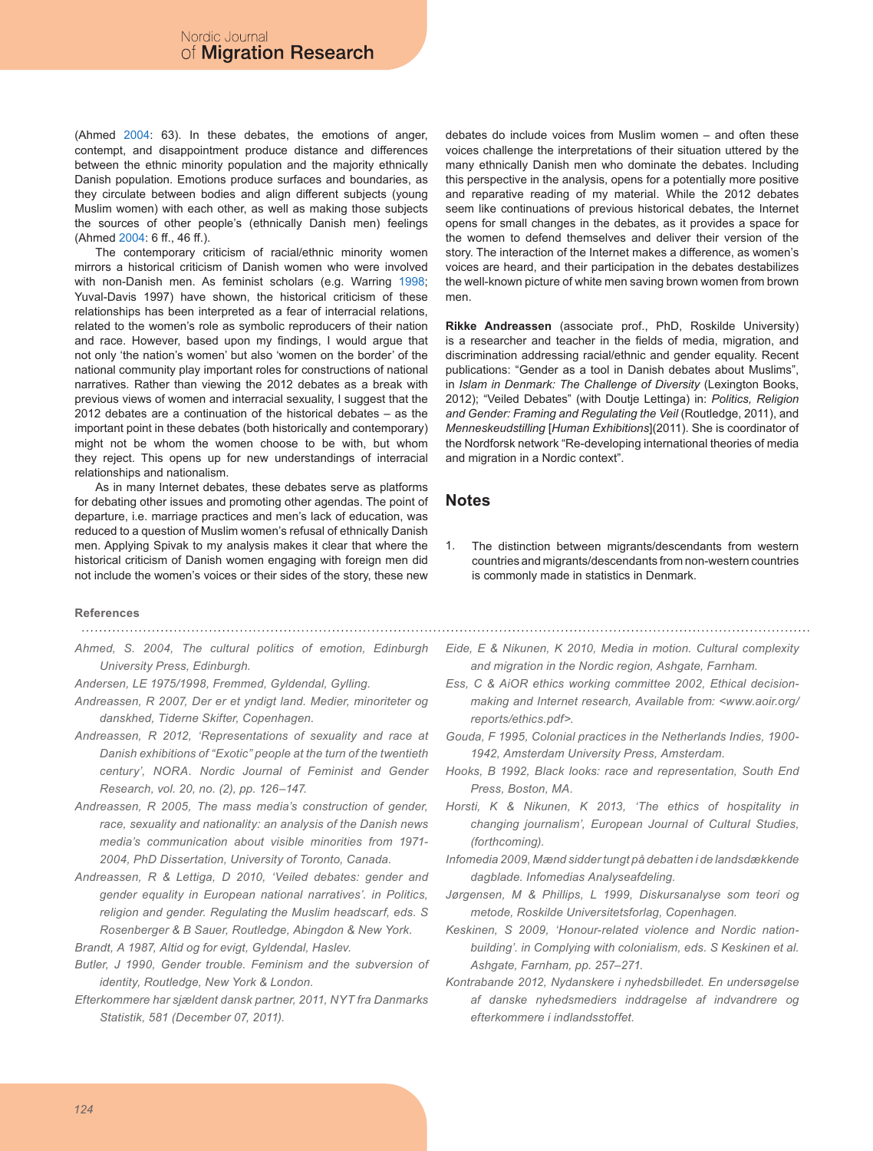(Ahmed [2004](#page-7-6): 63). In these debates, the emotions of anger, contempt, and disappointment produce distance and differences between the ethnic minority population and the majority ethnically Danish population. Emotions produce surfaces and boundaries, as they circulate between bodies and align different subjects (young Muslim women) with each other, as well as making those subjects the sources of other people's (ethnically Danish men) feelings (Ahmed [2004](#page-7-6): 6 ff., 46 ff.).

The contemporary criticism of racial/ethnic minority women mirrors a historical criticism of Danish women who were involved with non-Danish men. As feminist scholars (e.g. Warring [1998;](#page-8-0) Yuval-Davis 1997) have shown, the historical criticism of these relationships has been interpreted as a fear of interracial relations, related to the women's role as symbolic reproducers of their nation and race. However, based upon my findings, I would argue that not only 'the nation's women' but also 'women on the border' of the national community play important roles for constructions of national narratives. Rather than viewing the 2012 debates as a break with previous views of women and interracial sexuality, I suggest that the 2012 debates are a continuation of the historical debates – as the important point in these debates (both historically and contemporary) might not be whom the women choose to be with, but whom they reject. This opens up for new understandings of interracial relationships and nationalism.

As in many Internet debates, these debates serve as platforms for debating other issues and promoting other agendas. The point of departure, i.e. marriage practices and men's lack of education, was reduced to a question of Muslim women's refusal of ethnically Danish men. Applying Spivak to my analysis makes it clear that where the historical criticism of Danish women engaging with foreign men did not include the women's voices or their sides of the story, these new

debates do include voices from Muslim women – and often these voices challenge the interpretations of their situation uttered by the many ethnically Danish men who dominate the debates. Including this perspective in the analysis, opens for a potentially more positive and reparative reading of my material. While the 2012 debates seem like continuations of previous historical debates, the Internet opens for small changes in the debates, as it provides a space for the women to defend themselves and deliver their version of the story. The interaction of the Internet makes a difference, as women's voices are heard, and their participation in the debates destabilizes the well-known picture of white men saving brown women from brown men.

**Rikke Andreassen** (associate prof., PhD, Roskilde University) is a researcher and teacher in the fields of media, migration, and discrimination addressing racial/ethnic and gender equality. Recent publications: "Gender as a tool in Danish debates about Muslims", in *Islam in Denmark: The Challenge of Diversity* (Lexington Books, 2012); "Veiled Debates" (with Doutje Lettinga) in: *Politics, Religion and Gender: Framing and Regulating the Veil* (Routledge, 2011), and *Menneskeudstilling* [*Human Exhibitions*](2011). She is coordinator of the Nordforsk network "Re-developing international theories of media and migration in a Nordic context".

### **Notes**

The distinction between migrants/descendants from western countries and migrants/descendants from non-western countries is commonly made in statistics in Denmark. 1.

#### **References**

- <span id="page-7-6"></span>*Ahmed, S. 2004, The cultural politics of emotion, Edinburgh University Press, Edinburgh.*
- *Andersen, LE 1975/1998, Fremmed, Gyldendal, Gylling.*
- <span id="page-7-5"></span>*Andreassen, R 2007, Der er et yndigt land. Medier, minoriteter og danskhed, Tiderne Skifter, Copenhagen.*
- <span id="page-7-10"></span>*Andreassen, R 2012, 'Representations of sexuality and race at Danish exhibitions of "Exotic" people at the turn of the twentieth century', NORA. Nordic Journal of Feminist and Gender Research, vol. 20, no. (2), pp. 126–147.*
- <span id="page-7-7"></span>*Andreassen, R 2005, The mass media's construction of gender, race, sexuality and nationality: an analysis of the Danish news media's communication about visible minorities from 1971- 2004, PhD Dissertation, University of Toronto, Canada.*
- <span id="page-7-8"></span>*Andreassen, R & Lettiga, D 2010, 'Veiled debates: gender and gender equality in European national narratives'. in Politics, religion and gender. Regulating the Muslim headscarf, eds. S Rosenberger & B Sauer, Routledge, Abingdon & New York.*
- <span id="page-7-11"></span>*Brandt, A 1987, Altid og for evigt, Gyldendal, Haslev.*
- <span id="page-7-4"></span>*Butler, J 1990, Gender trouble. Feminism and the subversion of identity, Routledge, New York & London.*
- *Efterkommere har sjældent dansk partner, 2011, NYT fra Danmarks Statistik, 581 (December 07, 2011).*
- <span id="page-7-1"></span>*Eide, E & Nikunen, K 2010, Media in motion. Cultural complexity and migration in the Nordic region, Ashgate, Farnham.*
- <span id="page-7-3"></span>*Ess, C & AiOR ethics working committee 2002, Ethical decisionmaking and Internet research, Available from: <www.aoir.org/ reports/ethics.pdf>.*
- <span id="page-7-12"></span>*Gouda, F 1995, Colonial practices in the Netherlands Indies, 1900- 1942, Amsterdam University Press, Amsterdam.*
- <span id="page-7-13"></span>*Hooks, B 1992, Black looks: race and representation, South End Press, Boston, MA.*
- <span id="page-7-2"></span>*Horsti, K & Nikunen, K 2013, 'The ethics of hospitality in changing journalism', European Journal of Cultural Studies, (forthcoming).*
- <span id="page-7-14"></span>*Infomedia 2009, Mænd sidder tungt på debatten i de landsdækkende dagblade. Infomedias Analyseafdeling.*
- <span id="page-7-0"></span>*Jørgensen, M & Phillips, L 1999, Diskursanalyse som teori og metode, Roskilde Universitetsforlag, Copenhagen.*
- <span id="page-7-9"></span>*Keskinen, S 2009, 'Honour-related violence and Nordic nationbuilding'. in Complying with colonialism, eds. S Keskinen et al. Ashgate, Farnham, pp. 257–271.*
- <span id="page-7-15"></span>*Kontrabande 2012, Nydanskere i nyhedsbilledet. En undersøgelse af danske nyhedsmediers inddragelse af indvandrere og efterkommere i indlandsstoffet.*